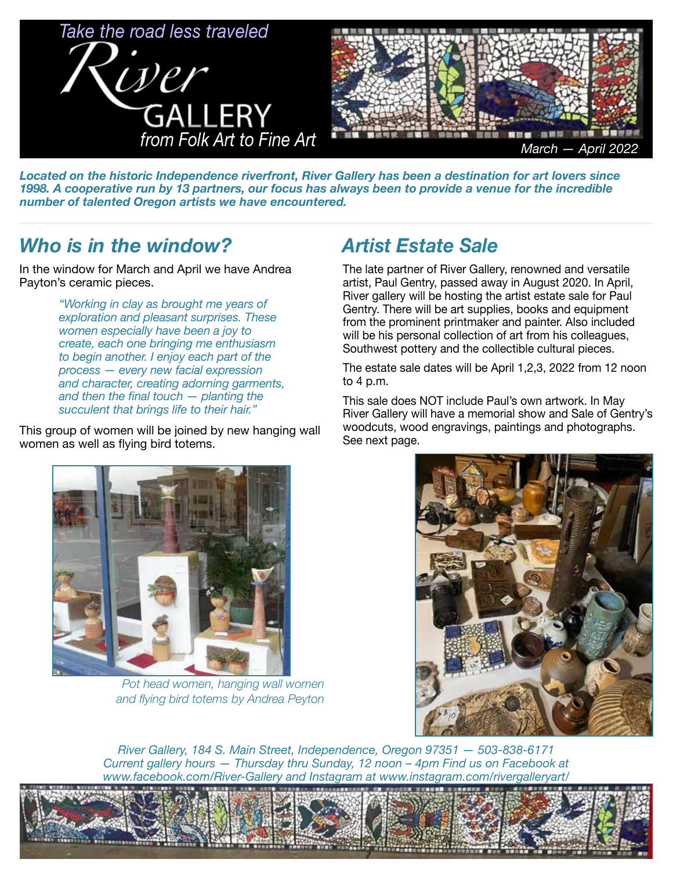

*Located on the historic Independence riverfront, River Gallery has been a destination for art lovers since 1998. A cooperative run by 13 partners, our focus has always been to provide a venue for the incredible number of talented Oregon artists we have encountered.* 

### *Who is in the window?*

In the window for March and April we have Andrea Payton's ceramic pieces.

> *"Working in clay as brought me years of exploration and pleasant surprises. These women especially have been a joy to create, each one bringing me enthusiasm to begin another. I enjoy each part of the process — every new facial expression and character, creating adorning garments, and then the final touch — planting the succulent that brings life to their hair."*

This group of women will be joined by new hanging wall women as well as flying bird totems.

## *Artist Estate Sale*

The late partner of River Gallery, renowned and versatile artist, Paul Gentry, passed away in August 2020. In April, River gallery will be hosting the artist estate sale for Paul Gentry. There will be art supplies, books and equipment from the prominent printmaker and painter. Also included will be his personal collection of art from his colleagues, Southwest pottery and the collectible cultural pieces.

The estate sale dates will be April 1,2,3, 2022 from 12 noon to 4 p.m.

This sale does NOT include Paul's own artwork. In May River Gallery will have a memorial show and Sale of Gentry's woodcuts, wood engravings, paintings and photographs. See next page.



*Pot head women, hanging wall women and flying bird totems by Andrea Peyton*



*River Gallery, 184 S. Main Street, Independence, Oregon 97351 — 503-838-6171 Current gallery hours — Thursday thru Sunday, 12 noon – 4pm Find us on Facebook at www.facebook.com/River-Gallery and Instagram at www.instagram.com/rivergalleryart/*